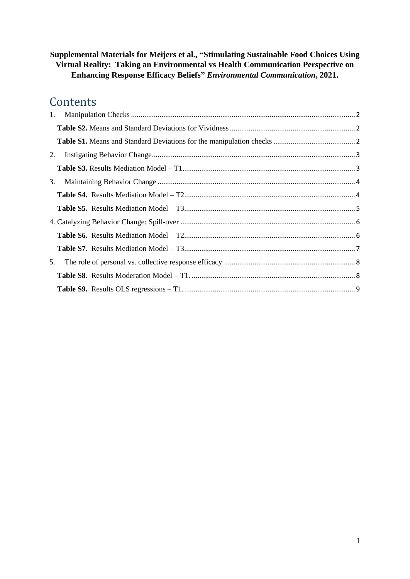#### **Supplemental Materials for Meijers et al., "Stimulating Sustainable Food Choices Using Virtual Reality: Taking an Environmental vs Health Communication Perspective on Enhancing Response Efficacy Beliefs"** *Environmental Communication***, 2021.**

# **Contents**

| 1. |  |
|----|--|
|    |  |
|    |  |
| 2. |  |
|    |  |
| 3. |  |
|    |  |
|    |  |
|    |  |
|    |  |
|    |  |
| 5. |  |
|    |  |
|    |  |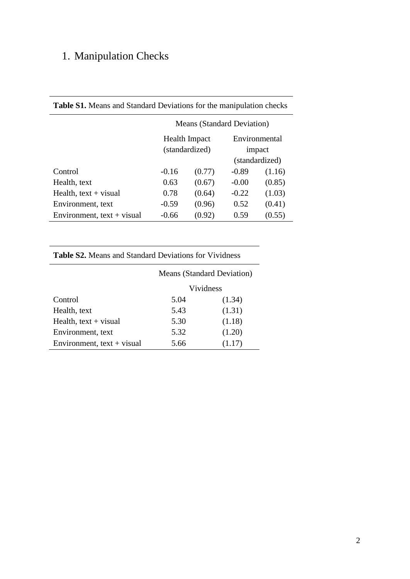# <span id="page-1-0"></span>1. Manipulation Checks

|                              | <b>Means (Standard Deviation)</b> |                                        |         |                         |  |  |  |
|------------------------------|-----------------------------------|----------------------------------------|---------|-------------------------|--|--|--|
|                              |                                   | <b>Health Impact</b><br>(standardized) |         | Environmental<br>impact |  |  |  |
|                              |                                   |                                        |         | (standardized)          |  |  |  |
| Control                      | $-0.16$                           | (0.77)                                 | $-0.89$ | (1.16)                  |  |  |  |
| Health, text                 | 0.63                              | (0.67)                                 | $-0.00$ | (0.85)                  |  |  |  |
| Health, $text + visual$      | 0.78                              | (0.64)                                 | $-0.22$ | (1.03)                  |  |  |  |
| Environment, text            | $-0.59$                           | (0.96)                                 | 0.52    | (0.41)                  |  |  |  |
| Environment, $text + visual$ | $-0.66$                           | (0.92)                                 | 0.59    | (0.55)                  |  |  |  |

### <span id="page-1-2"></span>**Table S1.** Means and Standard Deviations for the manipulation checks

#### <span id="page-1-1"></span>**Table S2.** Means and Standard Deviations for Vividness

|                              | <b>Means (Standard Deviation)</b> |           |  |  |  |  |
|------------------------------|-----------------------------------|-----------|--|--|--|--|
|                              |                                   | Vividness |  |  |  |  |
| Control                      | 5.04                              | (1.34)    |  |  |  |  |
| Health, text                 | 5.43                              | (1.31)    |  |  |  |  |
| Health, $text + visual$      | 5.30                              | (1.18)    |  |  |  |  |
| Environment, text            | 5.32                              | (1.20)    |  |  |  |  |
| Environment, $text + visual$ | 5.66                              | (1.17)    |  |  |  |  |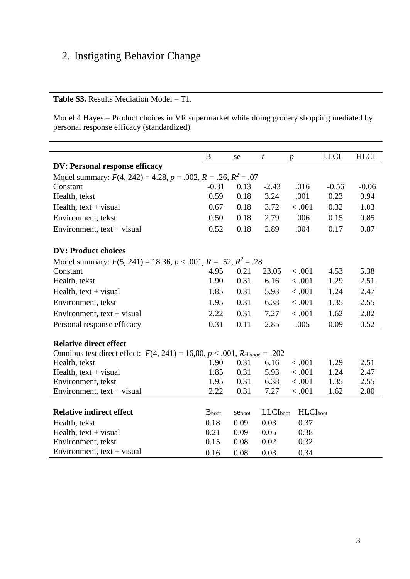# <span id="page-2-0"></span>2. Instigating Behavior Change

### <span id="page-2-1"></span>**Table S3.** Results Mediation Model – T1.

Model 4 Hayes – Product choices in VR supermarket while doing grocery shopping mediated by personal response efficacy (standardized).

|                                                                              | B             | se     | $\boldsymbol{t}$ | $\boldsymbol{p}$ | <b>LLCI</b> | <b>HLCI</b> |
|------------------------------------------------------------------------------|---------------|--------|------------------|------------------|-------------|-------------|
| <b>DV: Personal response efficacy</b>                                        |               |        |                  |                  |             |             |
| Model summary: $F(4, 242) = 4.28$ , $p = .002$ , $R = .26$ , $R^2 = .07$     |               |        |                  |                  |             |             |
| Constant                                                                     | $-0.31$       | 0.13   | $-2.43$          | .016             | $-0.56$     | $-0.06$     |
| Health, tekst                                                                | 0.59          | 0.18   | 3.24             | .001             | 0.23        | 0.94        |
| Health, $text + visual$                                                      | 0.67          | 0.18   | 3.72             | < .001           | 0.32        | 1.03        |
| Environment, tekst                                                           | 0.50          | 0.18   | 2.79             | .006             | 0.15        | 0.85        |
| Environment, $text + visual$                                                 | 0.52          | 0.18   | 2.89             | .004             | 0.17        | 0.87        |
|                                                                              |               |        |                  |                  |             |             |
| <b>DV: Product choices</b>                                                   |               |        |                  |                  |             |             |
| Model summary: $F(5, 241) = 18.36, p < .001, R = .52, R^2 = .28$             |               |        |                  |                  |             |             |
| Constant                                                                     | 4.95          | 0.21   | 23.05            | < .001           | 4.53        | 5.38        |
| Health, tekst                                                                | 1.90          | 0.31   | 6.16             | < .001           | 1.29        | 2.51        |
| Health, $text + visual$                                                      | 1.85          | 0.31   | 5.93             | < .001           | 1.24        | 2.47        |
| Environment, tekst                                                           | 1.95          | 0.31   | 6.38             | < .001           | 1.35        | 2.55        |
| Environment, $text + visual$                                                 | 2.22          | 0.31   | 7.27             | < .001           | 1.62        | 2.82        |
| Personal response efficacy                                                   | 0.31          | 0.11   | 2.85             | .005             | 0.09        | 0.52        |
|                                                                              |               |        |                  |                  |             |             |
| <b>Relative direct effect</b>                                                |               |        |                  |                  |             |             |
| Omnibus test direct effect: $F(4, 241) = 16,80, p < .001, R_{change} = .202$ |               |        |                  |                  |             |             |
| Health, tekst                                                                | 1.90          | 0.31   | 6.16             | < .001           | 1.29        | 2.51        |
| Health, $text + visual$                                                      | 1.85          | 0.31   | 5.93             | < .001           | 1.24        | 2.47        |
| Environment, tekst                                                           | 1.95          | 0.31   | 6.38             | < .001           | 1.35        | 2.55        |
| Environment, $text + visual$                                                 | 2.22          | 0.31   | 7.27             | < .001           | 1.62        | 2.80        |
|                                                                              | <b>B</b> boot |        |                  |                  |             |             |
| <b>Relative indirect effect</b>                                              |               | Seboot | <b>LLCI</b> boot | <b>HLCI</b> boot |             |             |
| Health, tekst                                                                | 0.18          | 0.09   | 0.03             | 0.37             |             |             |
| Health, text + visual                                                        | 0.21          | 0.09   | 0.05             | 0.38             |             |             |
| Environment, tekst                                                           | 0.15          | 0.08   | 0.02             | 0.32             |             |             |
| Environment, $text + visual$                                                 | 0.16          | 0.08   | 0.03             | 0.34             |             |             |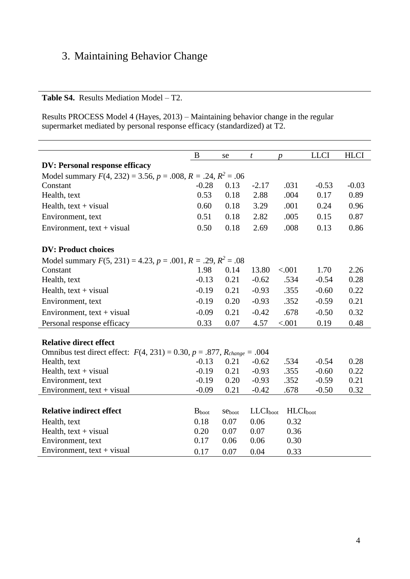## <span id="page-3-0"></span>3. Maintaining Behavior Change

<span id="page-3-1"></span>**Table S4.** Results Mediation Model – T2.

Results PROCESS Model 4 (Hayes, 2013) – Maintaining behavior change in the regular supermarket mediated by personal response efficacy (standardized) at T2.

|                                                                                   | B             | se     | t             | $\boldsymbol{p}$ | <b>LLCI</b> | <b>HLCI</b>     |  |  |
|-----------------------------------------------------------------------------------|---------------|--------|---------------|------------------|-------------|-----------------|--|--|
| <b>DV: Personal response efficacy</b>                                             |               |        |               |                  |             |                 |  |  |
| Model summary $F(4, 232) = 3.56$ , $p = .008$ , $R = .24$ , $R^2 = .06$           |               |        |               |                  |             |                 |  |  |
| 0.13<br>$-2.17$<br>$-0.53$<br>Constant<br>$-0.28$<br>.031                         |               |        |               |                  |             |                 |  |  |
| Health, text                                                                      | 0.53          | 0.18   | 2.88          | .004             | 0.17        | $-0.03$<br>0.89 |  |  |
| Health, $text + visual$                                                           | 0.60          | 0.18   | 3.29          | .001             | 0.24        | 0.96            |  |  |
| Environment, text                                                                 | 0.51          | 0.18   | 2.82          | .005             | 0.15        | 0.87            |  |  |
| Environment, $text + visual$                                                      | 0.50          | 0.18   | 2.69          | .008             | 0.13        | 0.86            |  |  |
|                                                                                   |               |        |               |                  |             |                 |  |  |
| <b>DV: Product choices</b>                                                        |               |        |               |                  |             |                 |  |  |
| Model summary $F(5, 231) = 4.23$ , $p = .001$ , $R = .29$ , $R^2 = .08$           |               |        |               |                  |             |                 |  |  |
| Constant                                                                          | 1.98          | 0.14   | 13.80         | < .001           | 1.70        | 2.26            |  |  |
| Health, text                                                                      | $-0.13$       | 0.21   | $-0.62$       | .534             | $-0.54$     | 0.28            |  |  |
| Health, $text + visual$                                                           | $-0.19$       | 0.21   | $-0.93$       | .355             | $-0.60$     | 0.22            |  |  |
| Environment, text                                                                 | $-0.19$       | 0.20   | $-0.93$       | .352             | $-0.59$     | 0.21            |  |  |
| Environment, $text + visual$                                                      | $-0.09$       | 0.21   | $-0.42$       | .678             | $-0.50$     | 0.32            |  |  |
| Personal response efficacy                                                        | 0.33          | 0.07   | 4.57          | < .001           | 0.19        | 0.48            |  |  |
|                                                                                   |               |        |               |                  |             |                 |  |  |
| <b>Relative direct effect</b>                                                     |               |        |               |                  |             |                 |  |  |
| Omnibus test direct effect: $F(4, 231) = 0.30$ , $p = .877$ , $R_{change} = .004$ |               |        |               |                  |             |                 |  |  |
| Health, text                                                                      | $-0.13$       | 0.21   | $-0.62$       | .534             | $-0.54$     | 0.28            |  |  |
| Health, $text + visual$                                                           | $-0.19$       | 0.21   | $-0.93$       | .355             | $-0.60$     | 0.22            |  |  |
| Environment, text                                                                 | $-0.19$       | 0.20   | $-0.93$       | .352             | $-0.59$     | 0.21            |  |  |
| Environment, $text + visual$                                                      | $-0.09$       | 0.21   | $-0.42$       | .678             | $-0.50$     | 0.32            |  |  |
|                                                                                   |               |        |               |                  |             |                 |  |  |
| <b>Relative indirect effect</b>                                                   | <b>B</b> boot | Seboot | $LLCI_{boot}$ | <b>HLCI</b> boot |             |                 |  |  |
| Health, text                                                                      | 0.18          | 0.07   | 0.06          | 0.32             |             |                 |  |  |
| Health, $text + visual$                                                           | 0.20          | 0.07   | 0.07          | 0.36             |             |                 |  |  |
| Environment, text                                                                 | 0.17          | 0.06   | 0.06          | 0.30             |             |                 |  |  |
| Environment, $text + visual$                                                      | 0.17          | 0.07   | 0.04          | 0.33             |             |                 |  |  |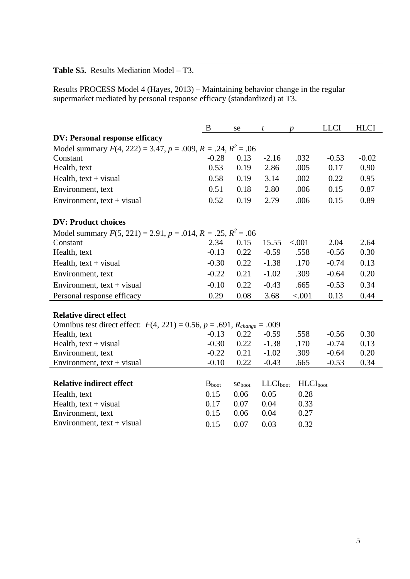#### <span id="page-4-0"></span>**Table S5.** Results Mediation Model – T3.

Results PROCESS Model 4 (Hayes, 2013) – Maintaining behavior change in the regular supermarket mediated by personal response efficacy (standardized) at T3.

|                                                                                   | B          | se     | $\boldsymbol{t}$ | $\boldsymbol{p}$ | <b>LLCI</b> | <b>HLCI</b> |
|-----------------------------------------------------------------------------------|------------|--------|------------------|------------------|-------------|-------------|
| <b>DV: Personal response efficacy</b>                                             |            |        |                  |                  |             |             |
| Model summary $F(4, 222) = 3.47$ , $p = .009$ , $R = .24$ , $R^2 = .06$           |            |        |                  |                  |             |             |
| Constant                                                                          | $-0.28$    | 0.13   | $-2.16$          | .032             | $-0.53$     | $-0.02$     |
| Health, text                                                                      | 0.53       | 0.19   | 2.86             | .005             | 0.17        | 0.90        |
| Health, $text + visual$                                                           | 0.58       | 0.19   | 3.14             | .002             | 0.22        | 0.95        |
| Environment, text                                                                 | 0.51       | 0.18   | 2.80             | .006             | 0.15        | 0.87        |
| Environment, $text + visual$                                                      | 0.52       | 0.19   | 2.79             | .006             | 0.15        | 0.89        |
| <b>DV: Product choices</b>                                                        |            |        |                  |                  |             |             |
| Model summary $F(5, 221) = 2.91$ , $p = .014$ , $R = .25$ , $R^2 = .06$           |            |        |                  |                  |             |             |
| Constant                                                                          | 2.34       | 0.15   | 15.55            | < .001           | 2.04        | 2.64        |
| Health, text                                                                      | $-0.13$    | 0.22   | $-0.59$          | .558             | $-0.56$     | 0.30        |
| Health, $text + visual$                                                           | $-0.30$    | 0.22   | $-1.38$          | .170             | $-0.74$     | 0.13        |
| Environment, text                                                                 | $-0.22$    | 0.21   | $-1.02$          | .309             | $-0.64$     | 0.20        |
| Environment, $text + visual$                                                      | $-0.10$    | 0.22   | $-0.43$          | .665             | $-0.53$     | 0.34        |
| Personal response efficacy                                                        | 0.29       | 0.08   | 3.68             | < .001           | 0.13        | 0.44        |
| <b>Relative direct effect</b>                                                     |            |        |                  |                  |             |             |
| Omnibus test direct effect: $F(4, 221) = 0.56$ , $p = .691$ , $R_{change} = .009$ |            |        |                  |                  |             |             |
| Health, text                                                                      | $-0.13$    | 0.22   | $-0.59$          | .558             | $-0.56$     | 0.30        |
| Health, $text + visual$                                                           | $-0.30$    | 0.22   | $-1.38$          | .170             | $-0.74$     | 0.13        |
| Environment, text                                                                 | $-0.22$    | 0.21   | $-1.02$          | .309             | $-0.64$     | 0.20        |
| Environment, $text + visual$                                                      | $-0.10$    | 0.22   | $-0.43$          | .665             | $-0.53$     | 0.34        |
|                                                                                   |            |        |                  |                  |             |             |
| <b>Relative indirect effect</b>                                                   | $B_{boot}$ | Seboot | $LLCI_{boot}$    | $HLCI_{boot}$    |             |             |
| Health, text                                                                      | 0.15       | 0.06   | 0.05             | 0.28             |             |             |
| Health, $text + visual$                                                           | 0.17       | 0.07   | 0.04             | 0.33             |             |             |
| Environment, text                                                                 | 0.15       | 0.06   | 0.04             | 0.27             |             |             |
| Environment, $text + visual$                                                      | 0.15       | 0.07   | 0.03             | 0.32             |             |             |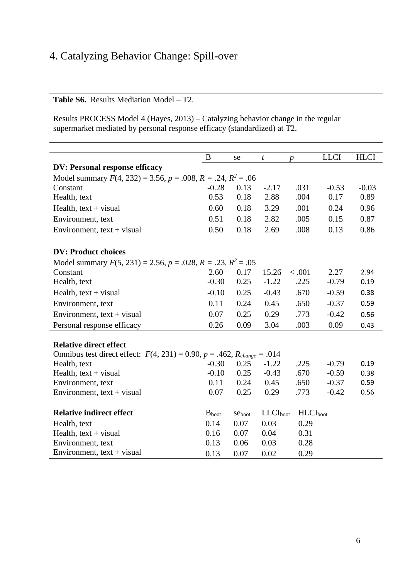## <span id="page-5-0"></span>4. Catalyzing Behavior Change: Spill-over

<span id="page-5-1"></span>**Table S6.** Results Mediation Model – T2.

Results PROCESS Model 4 (Hayes, 2013) – Catalyzing behavior change in the regular supermarket mediated by personal response efficacy (standardized) at T2.

|                                                                                   | B                                                                       | se     | $\boldsymbol{t}$ | $\boldsymbol{p}$ | <b>LLCI</b> | <b>HLCI</b> |  |  |
|-----------------------------------------------------------------------------------|-------------------------------------------------------------------------|--------|------------------|------------------|-------------|-------------|--|--|
| <b>DV: Personal response efficacy</b>                                             |                                                                         |        |                  |                  |             |             |  |  |
| Model summary $F(4, 232) = 3.56$ , $p = .008$ , $R = .24$ , $R^2 = .06$           |                                                                         |        |                  |                  |             |             |  |  |
| Constant                                                                          | $-0.28$                                                                 | 0.13   | $-2.17$          | .031             | $-0.53$     | $-0.03$     |  |  |
| Health, text                                                                      | 0.53                                                                    | 0.18   | 2.88             | .004             | 0.17        | 0.89        |  |  |
| Health, $text + visual$                                                           | 0.60                                                                    | 0.18   | 3.29             | .001             | 0.24        | 0.96        |  |  |
| Environment, text                                                                 | 0.51                                                                    | 0.18   | 2.82             | .005             | 0.15        | 0.87        |  |  |
| Environment, $text + visual$                                                      | 0.50                                                                    | 0.18   | 2.69             | .008             | 0.13        | 0.86        |  |  |
| <b>DV: Product choices</b>                                                        |                                                                         |        |                  |                  |             |             |  |  |
|                                                                                   | Model summary $F(5, 231) = 2.56$ , $p = .028$ , $R = .23$ , $R^2 = .05$ |        |                  |                  |             |             |  |  |
| Constant                                                                          | 2.60                                                                    | 0.17   | 15.26            | < .001           | 2.27        | 2.94        |  |  |
| Health, text                                                                      | $-0.30$                                                                 | 0.25   | $-1.22$          | .225             | $-0.79$     | 0.19        |  |  |
| Health, $text + visual$                                                           | $-0.10$                                                                 | 0.25   | $-0.43$          | .670             | $-0.59$     | 0.38        |  |  |
| Environment, text                                                                 | 0.11                                                                    | 0.24   | 0.45             | .650             | $-0.37$     | 0.59        |  |  |
| Environment, $text + visual$                                                      | 0.07                                                                    | 0.25   | 0.29             | .773             | $-0.42$     | 0.56        |  |  |
| Personal response efficacy                                                        | 0.26                                                                    | 0.09   | 3.04             | .003             | 0.09        | 0.43        |  |  |
| <b>Relative direct effect</b>                                                     |                                                                         |        |                  |                  |             |             |  |  |
| Omnibus test direct effect: $F(4, 231) = 0.90$ , $p = .462$ , $R_{change} = .014$ |                                                                         |        |                  |                  |             |             |  |  |
| Health, text                                                                      | $-0.30$                                                                 | 0.25   | $-1.22$          | .225             | $-0.79$     | 0.19        |  |  |
| Health, $text + visual$                                                           | $-0.10$                                                                 | 0.25   | $-0.43$          | .670             | $-0.59$     | 0.38        |  |  |
| Environment, text                                                                 | 0.11                                                                    | 0.24   | 0.45             | .650             | $-0.37$     | 0.59        |  |  |
| Environment, $text + visual$                                                      | 0.07                                                                    | 0.25   | 0.29             | .773             | $-0.42$     | 0.56        |  |  |
|                                                                                   |                                                                         |        |                  |                  |             |             |  |  |
| <b>Relative indirect effect</b>                                                   | <b>B</b> boot                                                           | Seboot | $LLCI_{boot}$    | <b>HLCI</b> boot |             |             |  |  |
| Health, text                                                                      | 0.14                                                                    | 0.07   | 0.03             | 0.29             |             |             |  |  |
| Health, $text + visual$                                                           | 0.16                                                                    | 0.07   | 0.04             | 0.31             |             |             |  |  |
| Environment, text                                                                 | 0.13                                                                    | 0.06   | 0.03             | 0.28             |             |             |  |  |
| Environment, $text + visual$                                                      | 0.13                                                                    | 0.07   | 0.02             | 0.29             |             |             |  |  |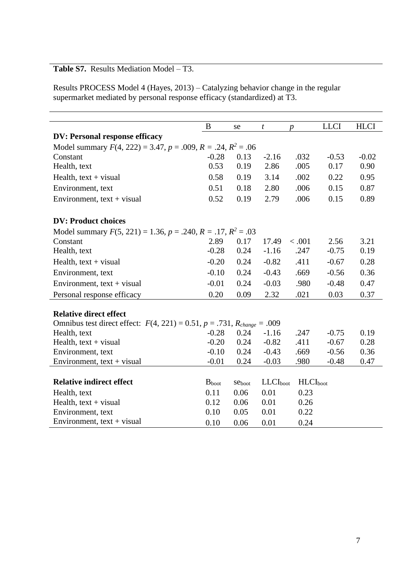### <span id="page-6-0"></span>**Table S7.** Results Mediation Model – T3.

Results PROCESS Model 4 (Hayes, 2013) – Catalyzing behavior change in the regular supermarket mediated by personal response efficacy (standardized) at T3.

|                                                                                   | B             | se     | $\boldsymbol{t}$ | D                | <b>LLCI</b> | <b>HLCI</b> |
|-----------------------------------------------------------------------------------|---------------|--------|------------------|------------------|-------------|-------------|
| <b>DV: Personal response efficacy</b>                                             |               |        |                  |                  |             |             |
| Model summary $F(4, 222) = 3.47$ , $p = .009$ , $R = .24$ , $R^2 = .06$           |               |        |                  |                  |             |             |
| Constant                                                                          | $-0.28$       | 0.13   | $-2.16$          | .032             | $-0.53$     | $-0.02$     |
| Health, text                                                                      | 0.53          | 0.19   | 2.86             | .005             | 0.17        | 0.90        |
| Health, $text + visual$                                                           | 0.58          | 0.19   | 3.14             | .002             | 0.22        | 0.95        |
| Environment, text                                                                 | 0.51          | 0.18   | 2.80             | .006             | 0.15        | 0.87        |
| Environment, $text + visual$                                                      | 0.52          | 0.19   | 2.79             | .006             | 0.15        | 0.89        |
| <b>DV: Product choices</b>                                                        |               |        |                  |                  |             |             |
| Model summary $F(5, 221) = 1.36$ , $p = .240$ , $R = .17$ , $R^2 = .03$           |               |        |                  |                  |             |             |
| Constant                                                                          | 2.89          | 0.17   | 17.49            | < .001           | 2.56        | 3.21        |
| Health, text                                                                      | $-0.28$       | 0.24   | $-1.16$          | .247             | $-0.75$     | 0.19        |
| Health, $text + visual$                                                           | $-0.20$       | 0.24   | $-0.82$          | .411             | $-0.67$     | 0.28        |
| Environment, text                                                                 | $-0.10$       | 0.24   | $-0.43$          | .669             | $-0.56$     | 0.36        |
| Environment, $text + visual$                                                      | $-0.01$       | 0.24   | $-0.03$          | .980             | $-0.48$     | 0.47        |
| Personal response efficacy                                                        | 0.20          | 0.09   | 2.32             | .021             | 0.03        | 0.37        |
| <b>Relative direct effect</b>                                                     |               |        |                  |                  |             |             |
| Omnibus test direct effect: $F(4, 221) = 0.51$ , $p = .731$ , $R_{change} = .009$ |               |        |                  |                  |             |             |
| Health, text                                                                      | $-0.28$       | 0.24   | $-1.16$          | .247             | $-0.75$     | 0.19        |
| Health, $text + visual$                                                           | $-0.20$       | 0.24   | $-0.82$          | .411             | $-0.67$     | 0.28        |
| Environment, text                                                                 | $-0.10$       | 0.24   | $-0.43$          | .669             | $-0.56$     | 0.36        |
| Environment, text + visual                                                        | $-0.01$       | 0.24   | $-0.03$          | .980             | $-0.48$     | 0.47        |
|                                                                                   |               |        |                  |                  |             |             |
| <b>Relative indirect effect</b>                                                   | <b>B</b> boot | Seboot | <b>LLCI</b> boot | <b>HLCI</b> boot |             |             |
| Health, text                                                                      | 0.11          | 0.06   | 0.01             | 0.23             |             |             |
| Health, $text + visual$                                                           | 0.12          | 0.06   | 0.01             | 0.26             |             |             |
| Environment, text                                                                 | 0.10          | 0.05   | 0.01             | 0.22             |             |             |
| Environment, $text + visual$                                                      | 0.10          | 0.06   | 0.01             | 0.24             |             |             |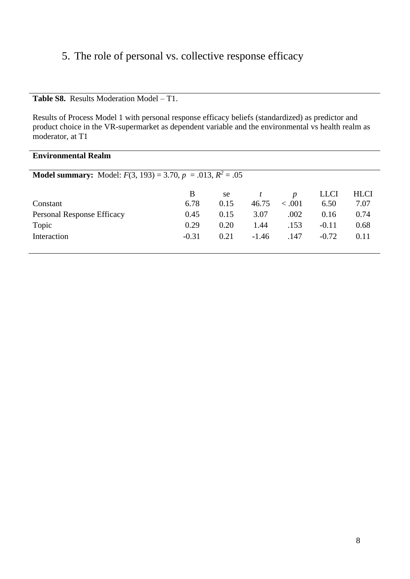## <span id="page-7-0"></span>5. The role of personal vs. collective response efficacy

<span id="page-7-1"></span>**Table S8.** Results Moderation Model – T1.

Results of Process Model 1 with personal response efficacy beliefs (standardized) as predictor and product choice in the VR-supermarket as dependent variable and the environmental vs health realm as moderator, at T1

| <b>Environmental Realm</b>                                                 |         |      |         |                  |             |             |  |  |
|----------------------------------------------------------------------------|---------|------|---------|------------------|-------------|-------------|--|--|
| <b>Model summary:</b> Model: $F(3, 193) = 3.70$ , $p = .013$ , $R^2 = .05$ |         |      |         |                  |             |             |  |  |
|                                                                            | B       | se   |         | $\boldsymbol{p}$ | <b>LLCI</b> | <b>HLCI</b> |  |  |
| Constant                                                                   | 6.78    | 0.15 | 46.75   | < 0.001          | 6.50        | 7.07        |  |  |
| <b>Personal Response Efficacy</b>                                          | 0.45    | 0.15 | 3.07    | .002             | 0.16        | 0.74        |  |  |
| Topic                                                                      | 0.29    | 0.20 | 1.44    | .153             | $-0.11$     | 0.68        |  |  |
| Interaction                                                                | $-0.31$ | 0.21 | $-1.46$ | .147             | $-0.72$     | 0.11        |  |  |